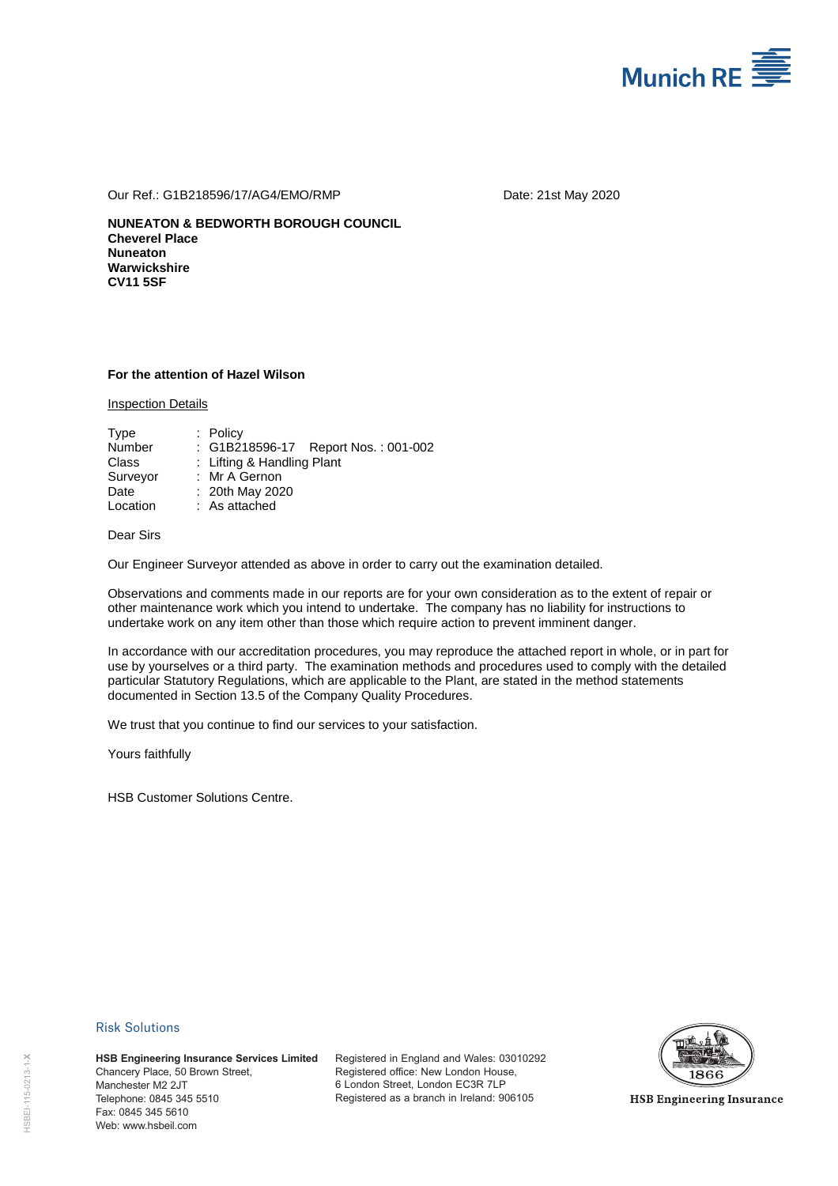

Our Ref.: G1B218596/17/AG4/EMO/RMP Date: 21st May 2020

**NUNEATON & BEDWORTH BOROUGH COUNCIL Cheverel Place Nuneaton Warwickshire CV11 5SF** 

## **For the attention of Hazel Wilson**

Inspection Details

| Type          | $:$ Policy                          |
|---------------|-------------------------------------|
| <b>Number</b> | : G1B218596-17 Report Nos.: 001-002 |
| Class         | : Lifting & Handling Plant          |
| Surveyor      | : Mr A Gernon                       |
| Date          | : 20th May 2020                     |
| Location      | : As attached                       |

Dear Sirs

Our Engineer Surveyor attended as above in order to carry out the examination detailed.

Observations and comments made in our reports are for your own consideration as to the extent of repair or other maintenance work which you intend to undertake. The company has no liability for instructions to undertake work on any item other than those which require action to prevent imminent danger.

In accordance with our accreditation procedures, you may reproduce the attached report in whole, or in part for use by yourselves or a third party. The examination methods and procedures used to comply with the detailed particular Statutory Regulations, which are applicable to the Plant, are stated in the method statements documented in Section 13.5 of the Company Quality Procedures.

We trust that you continue to find our services to your satisfaction.

Yours faithfully

HSB Customer Solutions Centre.

## Risk Solutions

**HSB Engineering Insurance Services Limited** Chancery Place, 50 Brown Street, Manchester M2 2JT Telephone: 0845 345 5510 Fax: 0845 345 5610 **HSB Engineering Ins<br>
Chancery Place, 50 B<br>
Manchester M2 2JT<br>
Telephone: 0845 345 345<br>
Fax: 0845 345 5610<br>
Web: www.hsbeil.com** 

Registered in England and Wales: 03010292 Registered office: New London House, 6 London Street, London EC3R 7LP Registered as a branch in Ireland: 906105



**HSB Engineering Insurance**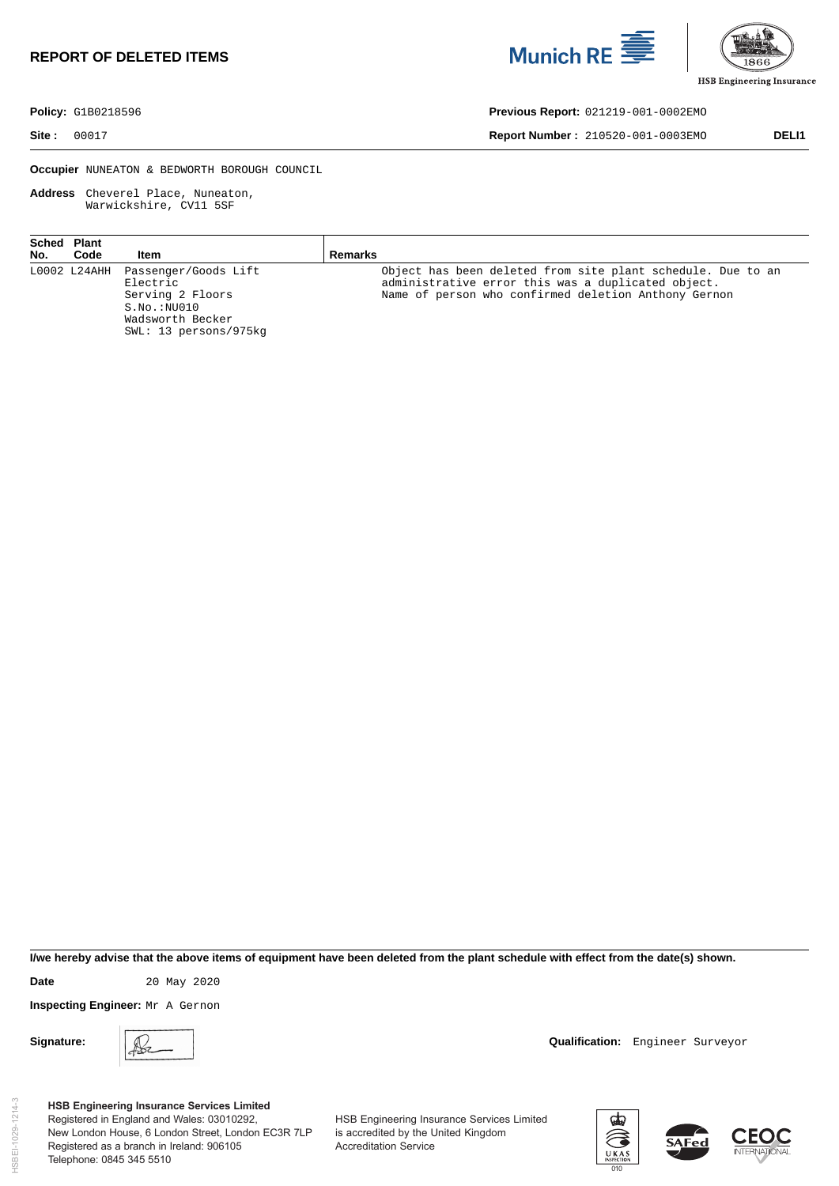## **REPORT OF DELETED ITEMS**





**Policy:** G1B0218596 **Previous Report:** 021219-001-0002EMO

**Site :** 00017 **Report Number :** 210520-001-0003EMO **DELI1** 

**Occupier** NUNEATON & BEDWORTH BOROUGH COUNCIL

**Address** Cheverel Place, Nuneaton, Warwickshire, CV11 5SF

| Sched Plant<br>No. | Code | Item                                                                                                                                | Remarks                                                                                                                                                                   |
|--------------------|------|-------------------------------------------------------------------------------------------------------------------------------------|---------------------------------------------------------------------------------------------------------------------------------------------------------------------------|
|                    |      | L0002 L24AHH Passenger/Goods Lift<br>Electric<br>Serving 2 Floors<br>$S.NO.$ : $NU010$<br>Wadsworth Becker<br>SWL: 13 persons/975kg | Object has been deleted from site plant schedule. Due to an<br>administrative error this was a duplicated object.<br>Name of person who confirmed deletion Anthony Gernon |

**I/we hereby advise that the above items of equipment have been deleted from the plant schedule with effect from the date(s) shown.** 

**Date** 20 May 2020

**Inspecting Engineer:** Mr A Gernon

**Signature: QUALIFICATION: Qualification: Engineer Surveyor Qualification: Engineer Surveyor** 

**HSB Engineering Insurance Services Limited** Registered in England and Wales: 03010292, New London House, 6 London Street, London EC3R 7LP Registered as a branch in Ireland: 906105 Telephone: 0845 345 5510

HSB Engineering Insurance Services Limited is accredited by the United Kingdom Accreditation Service